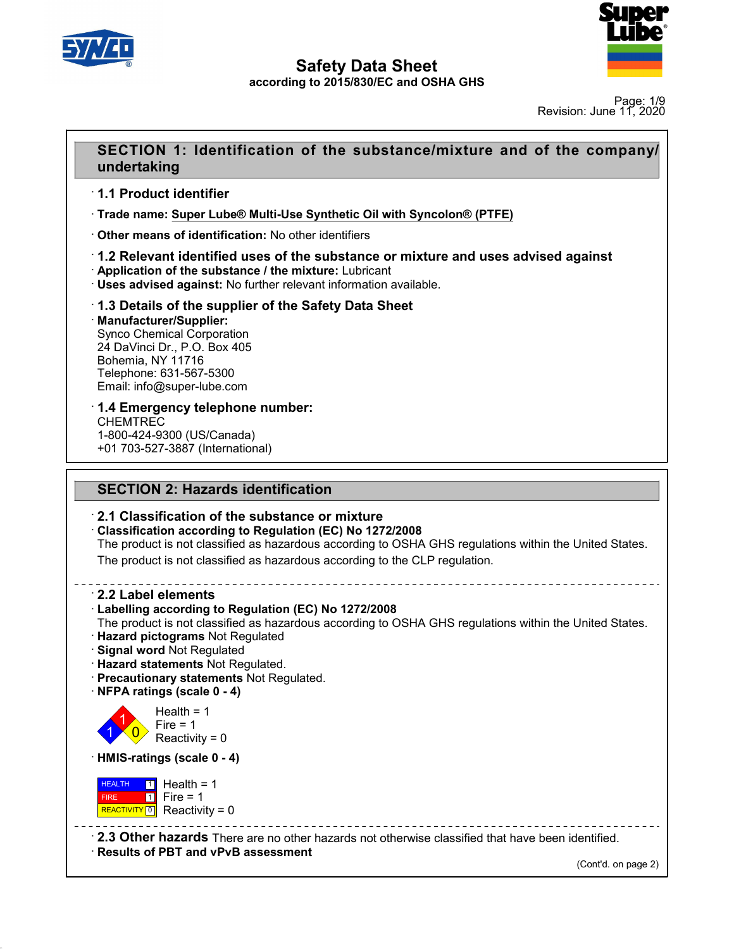



Page: 1/9 Revision: June 11, 2020

### **SECTION 1: Identification of the substance/mixture and of the company/**<br>BECTION 1: Identification of the substance/mixture and of the company/<br>undertaking **undertaking SECTION 1: Identificatio<br>
undertaking<br>
1.1 Product identifier<br>
Trade name: Super Lube® Multi-I<br>
Trade name: Super Lube® Multi-I**

· **Trade name: Super Lube® Multi-Use Synthetic Oil with Syncolon® (PTFE) undertaking**<br>
↑ 1.1 Product identifier<br>
↑ Trade name: <u>Super Lube® Multi-Use Synthetic Oil with Step</u><br>
↑ Other means of identification: No other identifiers<br>
↑ 1.2 Relevant identified uses of the substance or mi • **Trade name: Super Lube® Multi-Use Synthetic Oil with Syncolon® (P1**<br>• **Other means of identification:** No other identifiers<br>• **1.2 Relevant identified uses of the substance or mixture and users advised against: No furth** 

# **1.1 Product identifier**<br>• Trade name: <u>Super Lube® Multi-Use Synthetic Oil with Syncolon® (PTFE)</u><br>• Other means of identification: No other identifiers<br>• **1.2 Relevant identified uses of the substance or mixture and uses**

· **Manufacturer/Supplier:** • Application of the substance / the mixture: Lubricant<br>• Uses advised against: No further relevant information a<br>• 1.3 Details of the supplier of the Safety Data Sh<br>• Manufacturer/Supplier:<br>• Synco Chemical Corporation<br>• **12.13 Details of the supplier of the Safety Data Sheet**<br> **24.3 Details of the supplier of the Safety Data Sheet**<br> **1.3 Details of the supplier of the Safety Data Sheet**<br> **1.3 Details of the supplier:**<br>
Synco Chemical Corp **1.3 Details of the supplier of the Safety Data Sheet**<br> **Manufacturer/Supplier:**<br>
Synco Chemical Corporation<br>
24 DaVinci Dr., P.O. Box 405<br>
Bohemia, NY 11716<br>
Telephone: 631-567-5300<br>
Email: info@super-lube.com **1.3 Details of the supplier of t<br>Manufacturer/Supplier:**<br>Synco Chemical Corporation<br>24 DaVinci Dr., P.O. Box 405<br>Bohemia, NY 11716<br>Telephone: 631-567-5300<br>Email: info@super-lube.com Manufacturer/Supplier:<br>Synco Chemical Corporation<br>24 DaVinci Dr., P.O. Box 405<br>Bohemia, NY 11716<br>Telephone: 631-567-5300<br>Email: info@super-lube.com<br>**1.4 Emergency telephone number:** synco Chemical Corporation<br>24 DaVinci Dr., P.O. Box 405<br>Bohemia, NY 11716<br>Telephone: 631-567-5300<br>Email: info@super-lube.com<br>**1.4 Emergency telephone number:**<br>CHEMTREC<br>1-800-424-9300 (US/Canada)

CHEMTREC<br>1-800-424-9300 (US/Canada) Telephone: 631-567-5300<br>
Email: info@super-lube.com<br> **1.4 Emergency telephone num<br>
CHEMTREC<br>
1-800-424-9300 (US/Canada)<br>
+01 703-527-3887 (International)** Email: info@super-lube.com<br>
1.4 Emergency telephone numbe<br>
CHEMTREC<br>
1-800-424-9300 (US/Canada)<br>
+01 703-527-3887 (International) **T.4 Emergency telephone number:**<br>CHEMTREC<br>1-800-424-9300 (US/Canada)<br>+01 703-527-3887 (International)<br>**SECTION 2: Hazards identification**<br>2.1 Classification of the substance or mixture

<sup>+01</sup> 703-527-3887 (International)<br> **2.1 Classification of the substance or mixture**<br> **2.1 Classification of the substance or mixture**<br> **2.1 Classification according to Regulation (EC) No 1272/2008**<br>
The product is not cla **SECTION 2: Hazards identification<br>
· 2.1 Classification of the substance or mixture<br>
· Classification according to Regulation (EC) No 1272/2008<br>
The product is not classified as hazardous according to OSHA GHS regular<br>
Th** SECTION 2: Hazards identification<br>2.1 Classification of the substance or mixture<br>Classification according to Regulation (EC) No 1272/2008<br>The product is not classified as hazardous according to OSHA GHS regulations within **2.1 Classification of the substance or mixture<br>Classification according to Regulation (EC) No 1272/2008**<br>The product is not classified as hazardous according to OSHA GHS regulations with<br>The product is not classified as h **Example: Classification according to Re**<br>
The product is not classified as P<br>
The product is not classified as P<br> **2.2 Label elements**<br> **2.2 Label elements**<br> **2.2 Label elements** 

The product is not classified as hazardous according to OSHA GH<br>The product is not classified as hazardous according to the CLP re<br>
-<br> **2.2 Label elements**<br> **Cabelling according to Regulation (EC) No 1272/2008**<br>
The produc The product is not classified as hazardous according to the CLP regulation.<br> **2.2 Label elements**<br> **Example 12.2 Label elements**<br> **Example according to Regulation (EC) No 1272/2008**<br>
The product is not classified as hazard • **2.2 Label elements**<br>• Labelling according to Regulation (EC) No 1272/2008<br>The product is not classified as hazardous according to OSHA GHS regulations within the United States.<br>• Hazard pictograms Not Regulated<br>• Signal • **Labelling according to Regulation (EC) No 1272**.<br>
• **Hazard pictograms** Not Regulated. • **Signal word** Not Regulated. • **Precautionary statements** Not Regulated. • **Precautionary statements** Not Regulated. • **NFPA ratin** 

- 
- 
- 



48.0

Health =  $1$ <br>Fire =  $1$ rd Not Regulated<br> **tements** Not Regulated.<br> **aary statements** Not Regulated.<br> **lgs (scale 0 - 4)**<br>
Health = 1<br>
Fire = 1<br>
Reactivity = 0 **Internents Not Regulated.**<br> **Regulated.**<br> **Regulated Statements Not Regulated.**<br> **State 0 - 4**<br> **Property Figure 1**<br>
Fire = 1<br>
Reactivity = 0 **React Strate Transferred React Strategy Statements Not Regulated Strategy Statements Not Regulated Strategy State 0 - 4)**<br>Health = 1<br>Reactivity = 0<br>**ggs (scale 0 - 4)** • **NFPA ratings (scale 0 - 4)**<br>
Health = 1<br> **Conserved Figure 1**<br> **HMIS-ratings (scale 0 - 4)**<br> **HEALTH 11** Health = 1

**HEALTH** 1 Hea FIRE 1 Fire REACTIVITY  $\boxed{0}$  Reactivity = 0 Fire = 1<br>
Reactivity = 0<br> **ings (scale 0 - 4)**<br> **i** Health = 1<br>
Fire = 1<br> **a** Reactivity = 0 reactivity = 0<br> **s** (scale 0 - 4)<br>
Health = 1<br>
Fire = 1<br>
Reactivity = 0  $s$  (scale 0 - 4)<br>
Health = 1<br>
Fire = 1<br>
Reactivity = 0<br>  $\frac{1}{2}$ <br>
Reactivity = 0<br>  $\frac{1}{2}$ <br>
Reactivity = 0<br>
Reactivity = 0<br>
Reactivity = 0

**EALTH 1** Health = 1<br>
FIRE **1** Fire = 1<br> **REACTIVITY 0** Reactivity = 0<br> **2.3 Other hazards** There are no other hazards not otherwise classified that have been identified.<br> **Results of PBT and vPvB assessment** (Cont'd. on p ------------<br>|entified.<br>(Cont'd. on page 2)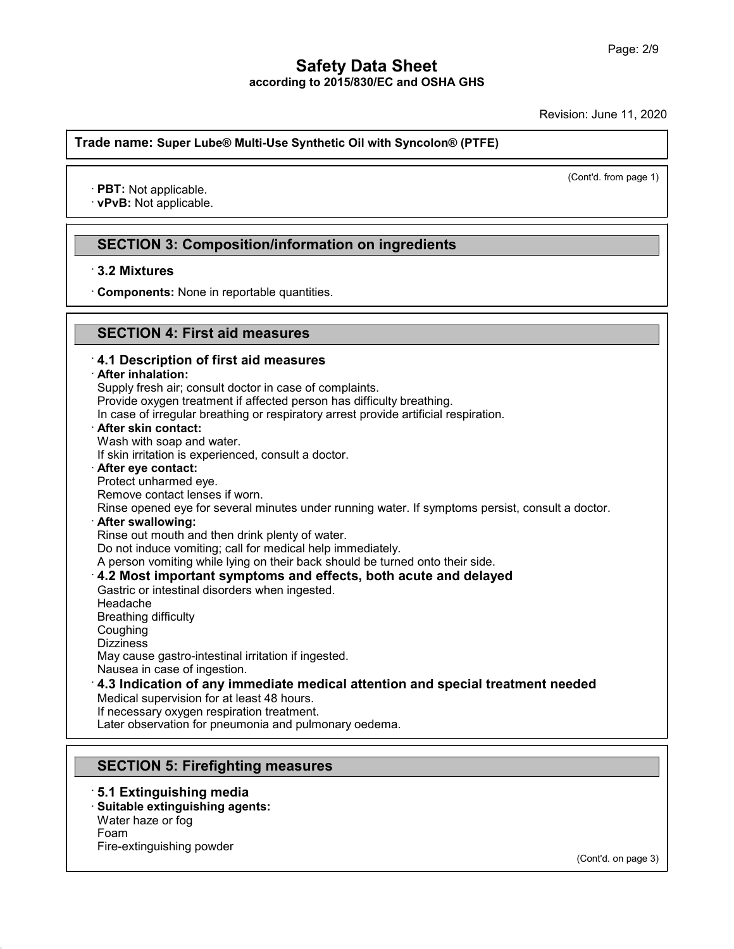Revision: June 11, 2020

### **Trade name: Super Lube® Multi-Use Synthetic Oil with Syncolon® (PTFE) ade name: Super Lube® Mul**<br>• **PBT:** Not applicable.<br>• **vPvB:** Not applicable.

(Cont'd. from page 1)

### PBT: Not applicable.<br>vPvB: Not applicable.<br>SECTION 3: Composition/information on ingredients<br>3.2 Mixtures **PVB: Not applicable.<br>
SECTION 3: Compo**<br>
3.2 Mixtures<br>
Components: None in re **SECTION 3: Composition/information on**<br>3.2 Mixtures<br>Components: None in reportable quantities.

### **SECTION 4: First aid measures**

### **S.2 Mixtures**<br> **Components:** None in reportable quantities.<br> **SECTION 4: First aid measures**<br> **4.1 Description of first aid measures EXECTION 4: First aid measures**<br>**4.1 Description of first aid measures**<br>**4.1 Description of first aid measures**<br>**After inhalation:**<br>Supply fresh air; consult doctor in case of complaints. Provide oxygen treatment if affected person has difficulty breathing. In case of irregular breathing or respiratory arrest provide artificial respiration.<br>  $\cdot$  After skin contact: **4.1 Description of first aid measures**<br> **After inhalation:**<br>
Supply fresh air; consult doctor in case of complaints.<br>
Provide oxygen treatment if affected person has difficulty breathing.<br>
In case of irregular breathing o After inhalation:<br>Supply fresh air; consult doctor in case of<br>Provide oxygen treatment if affected per<br>In case of irregular breathing or respirate<br>After skin contact:<br>Wash with soap and water.<br>If skin irritation is experie Supply fresh air; consult doctor in case of complaints.<br>Provide oxygen treatment if affected person has difficulty bre<br>In case of irregular breathing or respiratory arrest provide are<br>**After skin contact:**<br>Wash with soap a In case of irregular breathing or respir<br>**After skin contact:**<br>Wash with soap and water.<br>If skin irritation is experienced, consul<br>**After eye contact:**<br>Protect unharmed eye.<br>Remove contact lenses if worn.<br>Rinse opened eye After skin contact:<br>Wash with soap and water.<br>If skin irritation is experienced, consult a doct<br>After eye contact:<br>Protect unharmed eye.<br>Remove contact lenses if worn.<br>Rinse opened eye for several minutes under<br>After swall Wash with soap and water.<br>
If skin irritation is experienced, consult a doctor.<br> **After eye contact:**<br>
Protect unharmed eye.<br>
Remove contact lenses if worn.<br>
Rinse opened eye for several minutes under running water. If sym After eye contact:<br>Protect unharmed eye.<br>Remove contact lenses if worn.<br>Rinse opened eye for several minutes under running water.<br>After swallowing:<br>Rinse out mouth and then drink plenty of water.<br>Do not induce vomiting; ca Protect unharmed eye.<br>Remove contact lenses if worn.<br>Rinse opened eye for several minutes under running water. If sy<br>**After swallowing:**<br>Rinse out mouth and then drink plenty of water.<br>Do not induce vomiting; call for medi Remove contact lenses if worn.<br>
Rinse opened eye for several minutes under running water. If symptoms persist, consult a<br> **After swallowing:**<br>
Rinse out mouth and then drink plenty of water.<br>
Do not induce vomiting; call f After swallowing:<br>
Rinse out mouth and then drink plenty of water.<br>
Do not induce vomiting; call for medical help immediately.<br>
A person vomiting while lying on their back should be turned onto their side.<br> **4.2 Most impor** Headache Gastric or intestinal disorders when ingested. Coughing Dizziness<br>May cause gastro-intestinal irritation if ingested. Gastric or intestinal disorders when ingested.<br>Headache<br>Breathing difficulty<br>Coughing<br>Dizziness<br>May cause gastro-intestinal irritation if ingested.<br>Nausea in case of ingestion.<br>4.2 Indication of any immodiate modical atten Headache<br>Breathing difficulty<br>Coughing<br>Dizziness<br>May cause gastro-intestinal irritation if ingested.<br>Nausea in case of ingestion.<br>**4.3 Indication of any immediate medical attention and special treatment needed**<br>Medical sup Coughing<br>Dizziness<br>May cause gastro-intestinal irritation if ingested.<br>Nausea in case of ingestion.<br>**4.3 Indication of any immediate medical atten**<br>Medical supervision for at least 48 hours.<br>If necessary oxygen respiration Dizziness<br>May cause gastro-intestinal irritation if ingested.<br>Nausea in case of ingestion.<br>**4.3 Indication of any immediate medical att**<br>Medical supervision for at least 48 hours.<br>If necessary oxygen respiration treatment. May cause gastro-intestinal irritation if ingested.<br>Nausea in case of ingestion.<br>**4.3 Indication of any immediate medical attention and sp**<br>Medical supervision for at least 48 hours.<br>If necessary oxygen respiration treatme 4.3 Indication of any Immediate medical attentive<br>Medical supervision for at least 48 hours.<br>If necessary oxygen respiration treatment.<br>Later observation for pneumonia and pulmonary oedem<br>**SECTION 5: Firefighting measures** Later observation for pneumonia and pulm<br>
SECTION 5: Firefighting measure<br>
5.1 Extinguishing media<br>
Suitable extinguishing agents:<br>
Water haze or fog

48.0

**SECTION 5: Firefighting measures:**<br> **5.1 Extinguishing media<br>
· Suitable extinguishing agents:<br>
Water haze or fog<br>
Foam SECTION 5: Firefighting m**<br>**5.1 Extinguishing media**<br>**Suitable extinguishing agents:**<br>Water haze or fog<br>Foam<br>Fire-extinguishing powder Foam **5.1 Extinguishing media<br>Suitable extinguishing agents:**<br>Water haze or fog<br>Foam<br>Fire-extinguishing powder

(Cont'd. on page 3)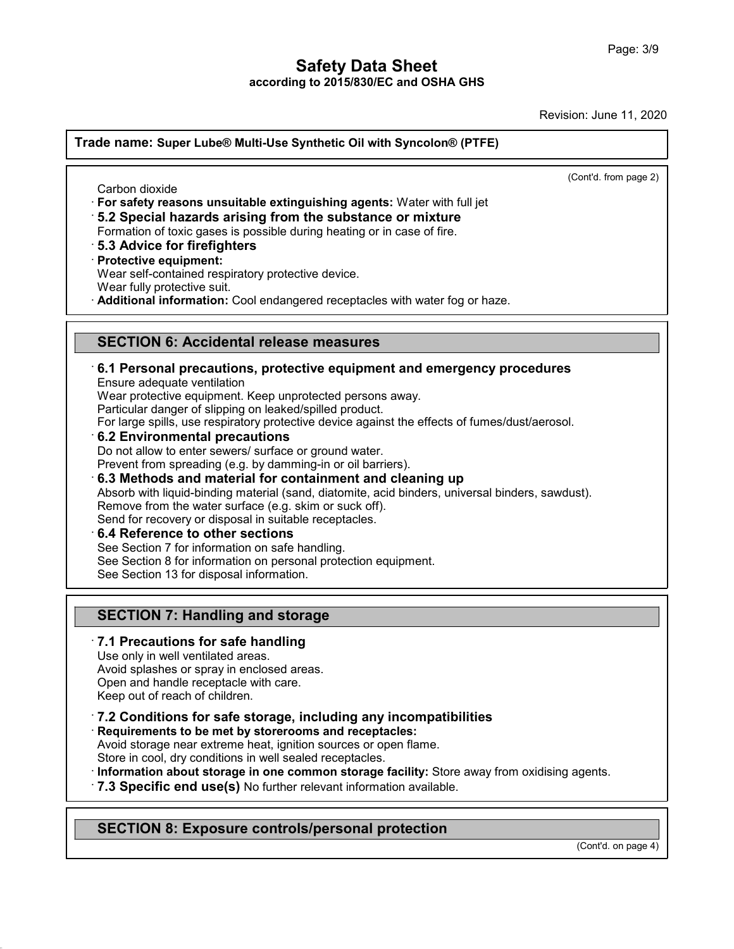Revision: June 11, 2020

**Trade name: Super Lube® Multi-Use Synthetic Oil with Syncolon® (PTFE)** (Cont'd. from page 2) de name: Super Lube® M<br>
Carbon dioxide<br>
For safety reasons unsui<br>
F. 2 Special bezerde exi **Example 15 Super Lube® Multi-Use Synthetic Oil with Syncolon® (PTFE)**<br>
<br> **For safety reasons unsuitable extinguishing agents:** Water with full jet<br>
• **5.2 Special hazards arising from the substance or mixture**<br>
• **5.3 Adv** Carbon dioxide<br>
For safety reasons unsuitable extinguishing agents: Water with full jet<br> **·5.2 Special hazards arising from the substance or mixture**<br>
Formation of toxic gases is possible during heating or in case of fire. **For safety reasons unsuitable 15.2 Special hazards arisin<br>15.2 Special hazards arisin<br>19.3 Advice for firefighters<br>19.3 Advice for firefighters<br>19.7 Protective equipment:<br>19.8 Protective equipment:<br>19.8 Protective equipme** For safety reasons unsulable extinguishing agents. Wate<br>5.2 Special hazards arising from the substance or m<br>Formation of toxic gases is possible during heating or in case<br>5.3 Advice for firefighters<br>Protective equipment:<br>W **B.2 Special nazards arising from the substance or mixture**<br>Formation of toxic gases is possible during heating or in case of fire.<br>**B.3 Advice for firefighters**<br>**Protective equipment:**<br>Wear self-contained respiratory prot Protective equipment:<br>
Wear self-contained respiratory protective device.<br>
Wear fully protective suit.<br> **Additional information:** Cool endangered receptacles with water fog or haze.<br> **SECTION 6: Accidental release measures Example 12 Personal precautions, protective equipment and emergency procedures**<br> **ECTION 6: Accidental release measures**<br> **E.1 Personal precautions, protective equipment and emergency procedures**<br>
Ensure adequate ventilat **SECTION 6: Accidental release measures**<br>6.1 Personal precautions, protective equipment and<br>Ensure adequate ventilation<br>Wear protective equipment. Keep unprotected persons away.<br>Particular danger of slipping on leaked/spil **SECTION 6: Accidental release measures**<br>**6.1 Personal precautions, protective equipment and emergency**<br>Ensure adequate ventilation<br>Wear protective equipment. Keep unprotected persons away.<br>Particular danger of slipping on **SECTION 6: Accidental release measures<br>6.1 Personal precautions, protective equipment and en<br>Ensure adequate ventilation<br>Wear protective equipment. Keep unprotected persons away.<br>Particular danger of slipping on leaked/sp** For **6.1 Personal precautions, protective equipment and emergency procedures**<br>Ensure adequate ventilation<br>Wear protective equipment. Keep unprotected persons away.<br>Particular danger of slipping on leaked/spilled product.<br>F Ensure adequate ventilation<br>Wear protective equipment. Keep unprotected persons away.<br>Particular danger of slipping on leaked/spilled product.<br>For large spills, use respiratory protective device against the effects<br>6.2 Env Wear protective equipment. Keep unprotected persons away.<br>
Particular danger of slipping on leaked/spilled product.<br>
For large spills, use respiratory protective device against the effects of fumes/dust/aeros<br> **6.2 Environ 6.2 Environmental precautions**<br>
Do not allow to enter sewers/ surface or ground water.<br>
Prevent from spreading (e.g. by damming-in or oil barriers).<br> **6.3 Methods and material for containment and cleaning up**<br>
Absorb with **6.3 Methods and material for containment and cleaning up**<br>Absorb with liquid-binding material (sand, diatomite, acid binders, univ<br>Remove from the water surface (e.g. skim or suck off).<br>Send for recovery or disposal in su Do not allow to enter sewers/ surface or ground water.<br>
Prevent from spreading (e.g. by damming-in or oil barriers).<br> **6.3 Methods and material for containment and clea**<br>
Absorb with liquid-binding material (sand, diatomit Absorb with liquid-binding material (sand, diatomite, acid binders, univer<br>Remove from the water surface (e.g. skim or suck off).<br>Send for recovery or disposal in suitable receptacles.<br>6.4 Reference to other sections<br>See S Remove from the water surface (e.g. skim or si<br>Send for recovery or disposal in suitable recept<br>6.4 Reference to other sections<br>See Section 7 for information on safe handling.<br>See Section 8 for information on personal prot **S.4 Reference to other sections**<br>
See Section 7 for information on safe handling.<br>
See Section 8 for information on personal protection equi<br>
See Section 13 for disposal information.<br> **SECTION 7: Handling and storage**<br>
7. See Section 13 for disposal information.<br> **SECTION 7: Handling and storage**<br> **7.1 Precautions for safe handling**<br>
Use only in well ventilated areas.<br>
Avoid splashes or spray in enclosed areas.<br>
Open and handle receptacle w **SECTION 7: Handling and storage**<br>**7.1 Precautions for safe handling**<br>Use only in well ventilated areas.<br>Avoid splashes or spray in enclosed areas.<br>Open and handle receptacle with care.<br>Keep out of reach of children **SECTION 7: Handling and storage**<br>**7.1 Precautions for safe handling**<br>Use only in well ventilated areas.<br>Avoid splashes or spray in enclosed areas.<br>Open and handle receptacle with care.<br>Keep out of reach of children. **7.1 Precautions for safe handling**<br>Use only in well ventilated areas.<br>Avoid splashes or spray in enclosed areas.<br>Open and handle receptacle with care.<br>Keep out of reach of children.<br>**7.2 Conditions for safe storage, inclu** Avoid splashes or spray in enclosed areas.<br>
Open and handle receptacle with care.<br>
Keep out of reach of children.<br> **7.2 Conditions for safe storage, including any incompatedies:**<br> **Requirements to be met by storerooms and** Open and handle receptacle with care.<br>
Keep out of reach of children.<br> **7.2 Conditions for safe storage, including any incompatibilities**<br> **Requirements to be met by storerooms and receptacles:**<br>
Avoid storage near extreme Reep out of reach of children.<br> **7.2 Conditions for safe storage, including any incompatibilities**<br> **Requirements to be met by storerooms and receptacles:**<br>
Avoid storage near extreme heat, ignition sources or open flame.<br>

48.0

Avoid storage hear extreme heat, ignition sources or open hame.<br>Store in cool, dry conditions in well sealed receptacles.<br>**Information about storage in one common storage facility:** Store away from<br>**7.3 Specific end use(s)** 

(Cont'd. on page 4)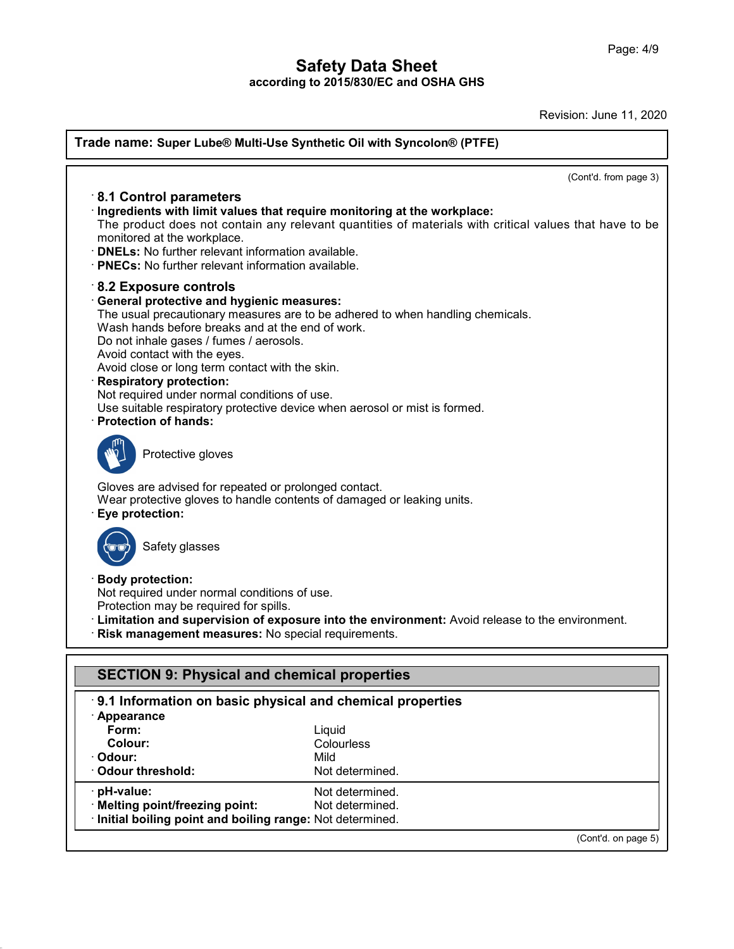Revision: June 11, 2020

| Trade name: Super Lube® Multi-Use Synthetic Oil with Syncolon® (PTFE)                                                                                                                                                                                                                                                                                                                                                                                              |                                                                                                        |  |  |
|--------------------------------------------------------------------------------------------------------------------------------------------------------------------------------------------------------------------------------------------------------------------------------------------------------------------------------------------------------------------------------------------------------------------------------------------------------------------|--------------------------------------------------------------------------------------------------------|--|--|
|                                                                                                                                                                                                                                                                                                                                                                                                                                                                    | (Cont'd. from page 3)                                                                                  |  |  |
| $\cdot$ 8.1 Control parameters<br>Ingredients with limit values that require monitoring at the workplace:<br>monitored at the workplace.<br><b>DNELs:</b> No further relevant information available.<br>· PNECs: No further relevant information available.                                                                                                                                                                                                        | The product does not contain any relevant quantities of materials with critical values that have to be |  |  |
| $\cdot$ 8.2 Exposure controls<br><b>General protective and hygienic measures:</b><br>Wash hands before breaks and at the end of work.<br>Do not inhale gases / fumes / aerosols.<br>Avoid contact with the eyes.<br>Avoid close or long term contact with the skin.<br><b>Respiratory protection:</b><br>Not required under normal conditions of use.<br>Use suitable respiratory protective device when aerosol or mist is formed.<br><b>Protection of hands:</b> | The usual precautionary measures are to be adhered to when handling chemicals.                         |  |  |
| Protective gloves                                                                                                                                                                                                                                                                                                                                                                                                                                                  |                                                                                                        |  |  |
| Gloves are advised for repeated or prolonged contact.<br>Wear protective gloves to handle contents of damaged or leaking units.<br>Eye protection:                                                                                                                                                                                                                                                                                                                 |                                                                                                        |  |  |
| Safety glasses                                                                                                                                                                                                                                                                                                                                                                                                                                                     |                                                                                                        |  |  |
| <b>Body protection:</b><br>Not required under normal conditions of use.<br>Protection may be required for spills.<br>Risk management measures: No special requirements.                                                                                                                                                                                                                                                                                            | · Limitation and supervision of exposure into the environment: Avoid release to the environment.       |  |  |
| <b>SECTION 9: Physical and chemical properties</b>                                                                                                                                                                                                                                                                                                                                                                                                                 |                                                                                                        |  |  |
| 9.1 Information on basic physical and chemical properties<br>· Appearance                                                                                                                                                                                                                                                                                                                                                                                          |                                                                                                        |  |  |
| Form:<br><b>Colour:</b>                                                                                                                                                                                                                                                                                                                                                                                                                                            | Liquid<br>Colourless                                                                                   |  |  |
| Odour:                                                                                                                                                                                                                                                                                                                                                                                                                                                             | Mild                                                                                                   |  |  |
| <b>Odour threshold:</b>                                                                                                                                                                                                                                                                                                                                                                                                                                            | Not determined.                                                                                        |  |  |
| pH-value:<br>· Melting point/freezing point:                                                                                                                                                                                                                                                                                                                                                                                                                       | Not determined.<br>Not determined.                                                                     |  |  |
| Initial boiling point and boiling range: Not determined.                                                                                                                                                                                                                                                                                                                                                                                                           |                                                                                                        |  |  |
|                                                                                                                                                                                                                                                                                                                                                                                                                                                                    | (Cont'd. on page 5)                                                                                    |  |  |

48.0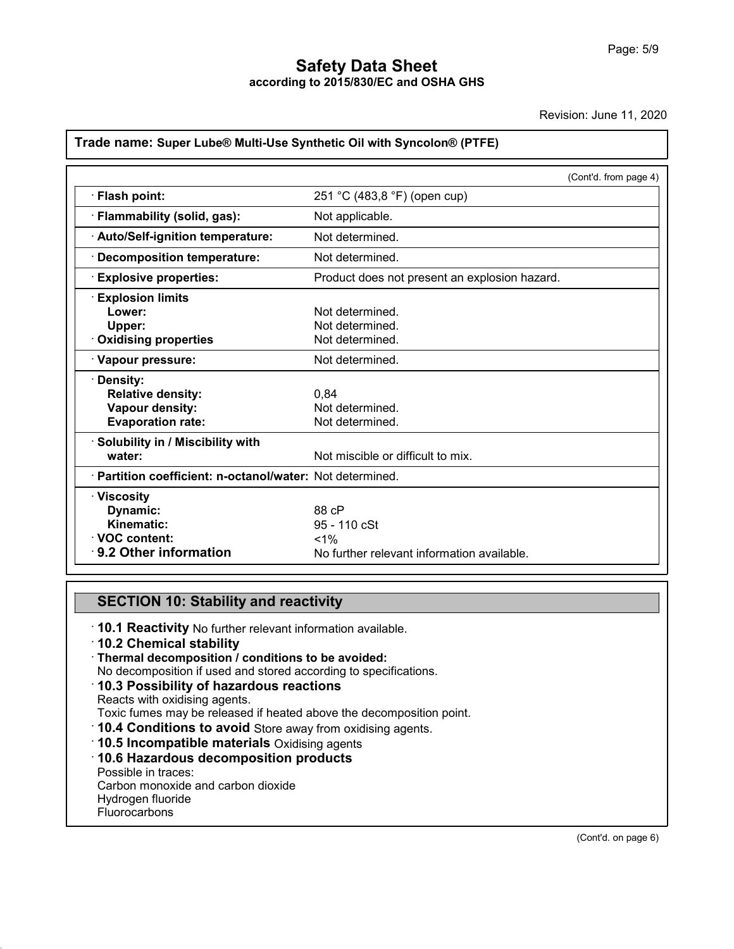Revision: June 11, 2020

### **Trade name: Super Lube® Multi-Use Synthetic Oil with Syncolon® (PTFE)**

|                                                           | (Cont'd. from page 4)                         |  |  |
|-----------------------------------------------------------|-----------------------------------------------|--|--|
| · Flash point:                                            | 251 °C (483,8 °F) (open cup)                  |  |  |
| · Flammability (solid, gas):                              | Not applicable.                               |  |  |
|                                                           |                                               |  |  |
| · Auto/Self-ignition temperature:                         | Not determined.                               |  |  |
| · Decomposition temperature:                              | Not determined.                               |  |  |
| <b>Explosive properties:</b>                              | Product does not present an explosion hazard. |  |  |
| <b>Explosion limits</b>                                   |                                               |  |  |
| Lower:                                                    | Not determined.                               |  |  |
| Upper:                                                    | Not determined.                               |  |  |
| Oxidising properties                                      | Not determined.                               |  |  |
| · Vapour pressure:                                        | Not determined.                               |  |  |
| · Density:                                                |                                               |  |  |
| <b>Relative density:</b>                                  | 0.84                                          |  |  |
| Vapour density:                                           | Not determined.                               |  |  |
| <b>Evaporation rate:</b>                                  | Not determined.                               |  |  |
| · Solubility in / Miscibility with                        |                                               |  |  |
| water:                                                    | Not miscible or difficult to mix.             |  |  |
| · Partition coefficient: n-octanol/water: Not determined. |                                               |  |  |
| $\cdot$ Viscosity                                         |                                               |  |  |
| Dynamic:                                                  | 88 cP                                         |  |  |
| Kinematic:                                                | 95 - 110 cSt                                  |  |  |
| <b>⋅VOC content:</b>                                      | $< 1\%$                                       |  |  |
| 9.2 Other information                                     | No further relevant information available.    |  |  |

**SECTION 10: Stability and reactivity**<br> **10.1 Reactivity** No further relevant information available.<br> **10.2 Chemical stability** • **10.1 Reactivity No further relevant information**<br>
• **10.1 Reactivity No further relevant information available.**<br>
• **10.2 Chemical stability**<br>
• **Thermal decomposition / conditions to be avoided:**<br>
• No decomposition if **SECTION 10: Stability and reactivity**<br> **10.1 Reactivity** No further relevant information available.<br> **10.2 Chemical stability**<br> **Thermal decomposition / conditions to be avoided:**<br>
No decomposition if used and stored acco **10.3 Possibility of hazardous reactions**<br>Reacts with oxidising agents.<br>Toxic fumes may be released if heated above the decomposition point.  $\cdot$  Thermal decomposition / conditions to be avoided: To.2 Chemical stability<br>
Thermal decomposition *I* conditions to be avoided:<br>
No decomposition if used and stored according to specifications.<br> **10.3 Possibility of hazardous reactions**<br>
Reacts with oxidising agents.<br> **10.** • **10.3 Possibility of hazardous reactions**<br>
Reacts with oxidising agents.<br>
Toxic fumes may be released if heated above the decomport of **10.4 Conditions to avoid** Store away from oxidising agents<br> **10.5 Incompatible mater** Toxic fumes may be released<br>Toxic fumes may be released<br>**10.4 Conditions to avoid {<br>10.5 Incompatible materia<br>To.6 Hazardous decompo**<br>Possible in traces:<br>Carbon monoxide and carbon<br>Hydrogen fluoride 10.4 Conditions to avoid Store away from ox<br>10.5 Incompatible materials Oxidising agent<br>10.6 Hazardous decomposition products<br>Possible in traces:<br>Carbon monoxide and carbon dioxide<br>Hydrogen fluoride **10.4 Conditions to avoid<br>10.5 Incompatible materi<br>10.6 Hazardous decompo**<br>Possible in traces:<br>Carbon monoxide and carbor<br>Hydrogen fluoride<br>Fluorocarbons

Fluorocarbons

48.0

(Cont'd. on page 6)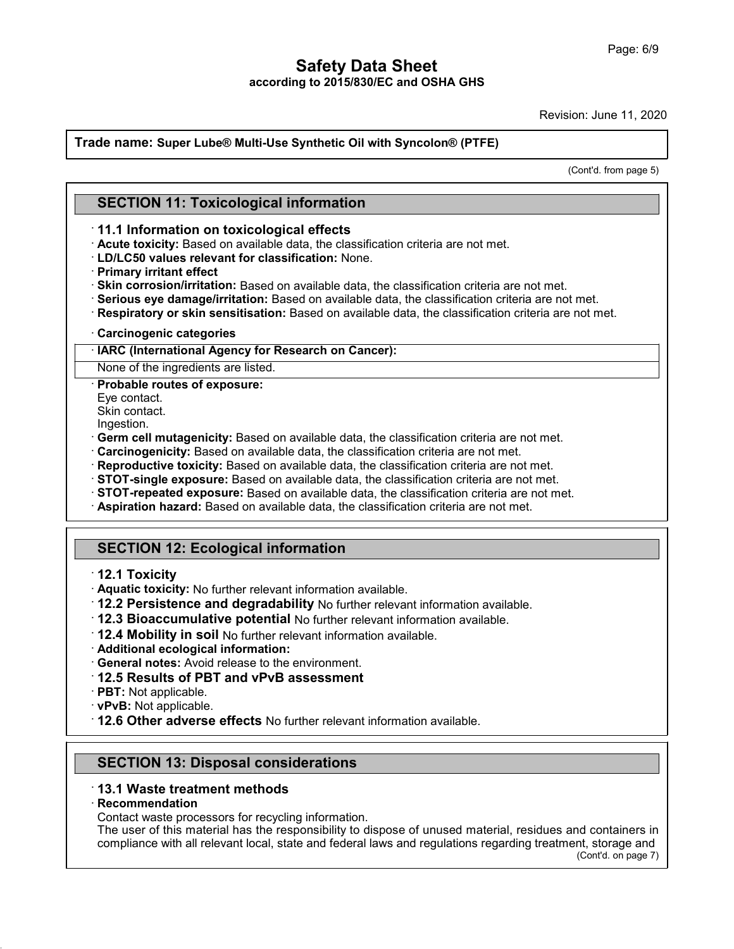Revision: June 11, 2020

### **Trade name: Super Lube® Multi-Use Synthetic Oil with Syncolon® (PTFE) SECTION 11: Toxicological information**

(ion: June 11, 2020)<br>(Cont'd. from page 5)

- **SECTION 11: Toxicological information<br>
11.1 Information on toxicological effects<br>
· Acute toxicity: Based on available data, the classification criteria are not met.<br>
· LD/LC50 values relevant for classification: None.**
- 
- 
- **SECTION 11: Toxicological information**<br> **· 11.1 Information on toxicological effects**<br> **· Acute toxicity:** Based on available data, the classification criteria are not met.<br> **· Primary irritant effect**<br> **· Skin corrosion/**
- 
- 11.1 Information on toxicological effects<br>
11.1 Information on toxicological effects<br>
1D/LC50 values relevant for classification: None.<br>
1Primary irritant effect<br>
1Primary irritant effect<br>
1Primary irritant effect<br>
1Primar • **Skin corrosion/irritation:** Based on available data, the classification criteria are not met.<br>• **Serious eye damage/irritation:** Based on available data, the classification criteria are not met.<br>• **Respiratory or skin s**
- 

Serious eye damage/irritation: Based on ava<br>
Respiratory or skin sensitisation: Based on<br>
Carcinogenic categories<br> **HARC (International Agency for Research on**<br>
None of the ingredients are listed.<br> **Probable routes of expo Carcinogenic categor<br>IARC (International Agodic Mone of the ingredients<br>Probable routes of ex<br>Eye contact.<br>Skin contact.**<br>Ingestion **IARC (International Ag<br>
None of the ingredients<br>
Probable routes of exp<br>
Eye contact.<br>
Skin contact.<br>
Ingestion.**<br> **Germ cell mutagenicit** 

Ingestion.

- 
- 
- 
- 
- Probable routes of exposure:<br>
Eye contact.<br>
Eye contact.<br>
Skin contact.<br>
Skin contact.<br>
Ingestion.<br> **Germ cell mutagenicity:** Based on available data, the classification criteria are not met.<br> **Carcinogenicity:** Based on a **Reproductive toxicity:** Based on available data, the classification criteria are not met.<br> **STOT-single exposure:** Based on available data, the classification criteria are not met.<br> **STOT-repeated exposure:** Based on avai
- 

# **Aspiration hazard: Based<br>
COM 12: Ecolog<br>
12.1 Toxicity<br>
Aquatic toxicity: No furthern 12.2 Persistence and c**

- 
- 
- SECTION 12: Ecological information<br>
12.1 Toxicity<br>
Aquatic toxicity: No further relevant information available.<br>
12.2 Persistence and degradability No further relevant information available.<br>
12.3 Bioaccumulative potential
- 
- **12.2 Persistence and degradability** No further relevent in **12.4 Mobility in soil** No further relevant in **12.4 Mobility in soil** No further relevant information av **Additional ecological information:**<br>• **General notes:**
- 
- 
- 
- 
- 
- **12.6 District in soll Not** further relevant information available.<br>• **Additional ecological information:**<br>• **General notes:** Avoid release to the environment.<br>• **12.5 Results of PBT and vPvB assessment**<br>• **PBT:** Not app **PBT:** Not applicable.<br> **PBT:** Not applicable.<br> **12.6 Other adverse effects** No further relevant informations<br> **SECTION 13: Disposal considerations**<br> **13.1 Waste treatment methods** • **12.6 Other adverse effects No further relevent methods**<br>
• **13.1 Waste treatment methods**<br>
• **Recommendation**<br>
• Contact waste processors for recycling information

48.0

· **Recommendation**

**SECTION 13: Disposal considerations**<br>**13.1 Waste treatment methods**<br>**Recommendation**<br>Contact waste processors for recycling information.<br>The user of this material has the responsibility to dispose<br>compliance with all rele SECTION 13: Disposal considerations<br>13.1 Waste treatment methods<br>Recommendation<br>Contact waste processors for recycling information.<br>The user of this material has the responsibility to dispose of unused material, residues a 13.1 Waste treatment methods<br>Recommendation<br>Contact waste processors for recycling information.<br>The user of this material has the responsibility to dispose of unused material, residues and containers in<br>compliance with all nd containers in<br>nt, storage and<br>(Cont'd. on page 7)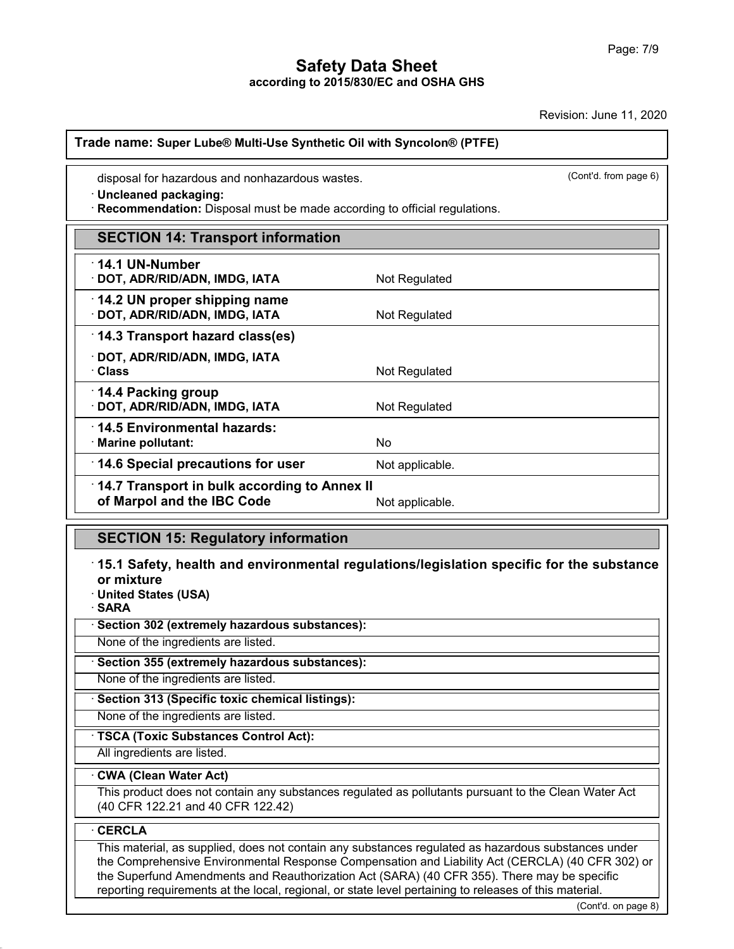| disposal for hazardous and nonhazardous wastes.<br>· Uncleaned packaging:<br>· Recommendation: Disposal must be made according to official regulations. |                 | (Cont'd. from page 6) |
|---------------------------------------------------------------------------------------------------------------------------------------------------------|-----------------|-----------------------|
| <b>SECTION 14: Transport information</b>                                                                                                                |                 |                       |
| 14.1 UN-Number<br>· DOT, ADR/RID/ADN, IMDG, IATA                                                                                                        | Not Regulated   |                       |
| 14.2 UN proper shipping name<br>· DOT, ADR/RID/ADN, IMDG, IATA                                                                                          | Not Regulated   |                       |
| 14.3 Transport hazard class(es)                                                                                                                         |                 |                       |
| · DOT, ADR/RID/ADN, IMDG, IATA<br>· Class                                                                                                               | Not Regulated   |                       |
| 14.4 Packing group<br>· DOT, ADR/RID/ADN, IMDG, IATA                                                                                                    | Not Regulated   |                       |
| 14.5 Environmental hazards:<br>· Marine pollutant:                                                                                                      | <b>No</b>       |                       |
| 14.6 Special precautions for user                                                                                                                       | Not applicable. |                       |
| 14.7 Transport in bulk according to Annex II<br>of Marpol and the IBC Code                                                                              | Not applicable. |                       |
| <b>SECTION 15: Regulatory information</b>                                                                                                               |                 |                       |

**SECTION 15: Regulatory in**<br>15.1 Safety, health and enviror mixture<br>United States (USA)<br>SARA <sup>-</sup> **15.1 Safety, health and environmental regulation mixture**<br>
• United States (USA)<br>
• SARA<br>
• Section 302 (extremely hazardous substances):<br>
None of the ingredients are listed. None of mixture<br>
None of the ingredients are listed.<br> **None of the ingredients are listed.**<br> **None of the ingredients are listed.**<br>
None of the ingredients are listed.<br>
None of the ingredients are listed.

· **SARA**

None of the ingredients are listed.<br>
None of the ingredients are listed.<br> **• Section 355 (extremely hazardous substances):**<br>
None of the ingredients are listed.<br>
• **Section 313 (Specific toxic chemical listings):**<br>
None of **Example 355 (extremely hazardous substances):**<br>None of the ingredients are listed.<br>**· Section 313 (Specific toxic chemical listings):**<br>None of the ingredients are listed.<br>**· TSCA (Toxic Substances Control Act):**<br>All ingre

None of the ingredients are listed.<br>
Section 313 (Specific toxic chemical listings):<br>
None of the ingredients are listed.<br>
TSCA (Toxic Substances Control Act):<br>
All ingredients are listed.

### · **CWA (Clean Water Act)**

This product does not contain any substances regulated as pollutants pursuant to the Clean Water Act (40 CFR 122.21 and 40 CFR 122.42)

### · **CERCLA**

48.0

(CONTRET)<br>
(CONTRET)<br>
Cont'd. on page 8) This material, as supplied, does not contain any substances regulated as hazardous substances under the Comprehensive Environmental Response Compensation and Liability Act (CERCLA) (40 CFR 302) or the Superfund Amendments and Reauthorization Act (SARA) (40 CFR 355). There may be specific reporting requirements at the local, regional, or state level pertaining to releases of this material.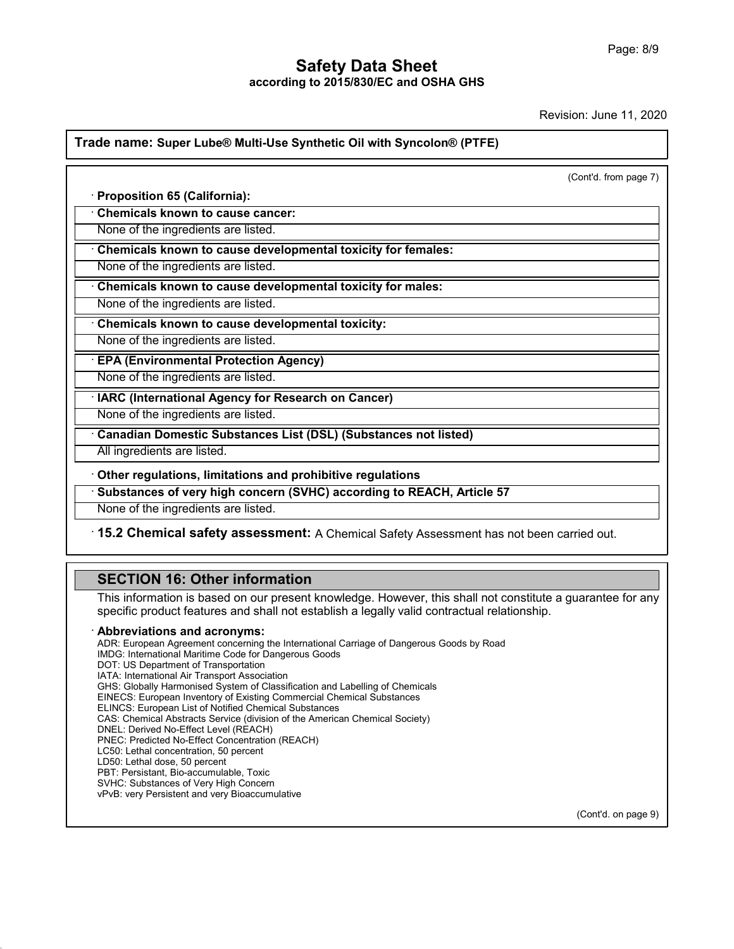Revision: June 11, 2020

### **Trade name: Super Lube® Multi-Use Synthetic Oil with Syncolon® (PTFE)**

|                                                                        | (Cont'd. from page 7) |
|------------------------------------------------------------------------|-----------------------|
| · Proposition 65 (California):                                         |                       |
| <b>Chemicals known to cause cancer:</b>                                |                       |
| None of the ingredients are listed.                                    |                       |
| Chemicals known to cause developmental toxicity for females:           |                       |
| None of the ingredients are listed.                                    |                       |
| Chemicals known to cause developmental toxicity for males:             |                       |
| None of the ingredients are listed.                                    |                       |
| Chemicals known to cause developmental toxicity:                       |                       |
| None of the ingredients are listed.                                    |                       |
| <b>EPA (Environmental Protection Agency)</b>                           |                       |
| None of the ingredients are listed.                                    |                       |
| <b>IARC (International Agency for Research on Cancer)</b>              |                       |
| None of the ingredients are listed.                                    |                       |
| <b>Canadian Domestic Substances List (DSL) (Substances not listed)</b> |                       |
| All ingredients are listed.                                            |                       |
| Other regulations, limitations and prohibitive regulations             |                       |
| Substances of very high concern (SVHC) according to REACH, Article 57  |                       |
| None of the ingredients are listed.                                    |                       |

**None of the ingredients are listed.**<br>**15.2 Chemical safety assessment:** A Chemical<br>**SECTION 16: Other information**<br>This information is based on our present knowledge.<br>specific product features and shall not establish a le 15.2 Chemical safety assessment: A Chemical Safety Assessment has not been carried out.<br>
SECTION 16: Other information<br>
This information is based on our present knowledge. However, this shall not constitute a guarantee for **SECTION 16: Other information**<br>This information is based on our present knowledge. However, this shall not constitute a gual<br>specific product features and shall not establish a legally valid contractual relationship.<br>**Abb** 

48.0

This information is based on our present knowledge. However, this shall not constitute a guarantee for any<br>specific product features and shall not establish a legally valid contractual relationship.<br>Abbreviations and acron specific product features and shall not establish a legally valid contractual relationship.<br> **Abbreviations and acronyms:**<br>
ADR: European Agreement concerning the International Carriage of Dangerous Goods by Road<br>
IMDG: In specific product features and shall not e<br>**Abbreviations and acronyms:**<br>ADR: European Agreement concerning the Intern<br>IMDG: International Maritime Code for Dangerou<br>DOT: US Department of Transport Association<br>IATA: Interna **Abbreviations and acronyms:**<br>ADR: European Agreement concerning the Internation<br>IMDG: International Maritime Code for Dangerous Go<br>DOT: US Department of Transport Association<br>IATA: International Air Transport Association<br> **ADDreVIatIONS and acronyms:**<br>ADR: European Agreement concerning the International Carriage of Dangerous Goods I<br>IMDG: International Maritime Code for Dangerous Goods<br>DOT: US Department of Transportation<br>IATA: Internationa ADR: European Agreement concerning the International Carriage of Dangerous Good<br>IMDG: International Maritime Code for Dangerous Goods<br>DOT: US Department of Transportation<br>IATA: International Air Transport Association<br>GHS: IMDG: International Maritime Code for Dangerous Goods<br>DOT: US Department of Transportation<br>IATA: International Air Transport Association<br>GHS: Globally Harmonised System of Classification and Labelling<br>EINECS: European Inve DOT: US Department of Transportation<br>IATA: International Air Transport Association<br>GHS: Globally Harmonised System of Classification and Labelling of Chemicals<br>EINECS: European Inventory of Existing Commercial Chemical Sub IATA: International Air Transport Association<br>GHS: Globally Harmonised System of Classificatio<br>EINECS: European Inventory of Existing Commerc<br>ELINCS: European List of Notified Chemical Subst<br>CAS: Chemical Abstracts Service EINECS: European Inventory of Existing Commercial Chemical Substances<br>ELINCS: European List of Notified Chemical Substances<br>CAS: Chemical Abstracts Service (division of the American Chemical Societ<br>DNEL: Derived No-Effect EINECS: European Inventory of Existing Commerce<br>ELINCS: European List of Notified Chemical Subs<br>CAS: Chemical Abstracts Service (division of the *A*<br>DNEL: Derived No-Effect Level (REACH)<br>PNEC: Predicted No-Effect Concentra ELINCS: European List of Notified Chemic<br>CAS: Chemical Abstracts Service (division<br>DNEL: Derived No-Effect Level (REACH)<br>PNEC: Predicted No-Effect Concentration<br>LC50: Lethal dose, 50 percent<br>LD50: Lethal dose, 50 percent<br>P PNEC: Predicted No-Effect Concentration (REACH)<br>LC50: Lethal concentration, 50 percent<br>LD50: Lethal dose, 50 percent<br>PBT: Persistant, Bio-accumulable, Toxic<br>SVHC: Substances of Very High Concern DNEL: Derived No-Effect Level (REACH)<br>PNEC: Predicted No-Effect Concentration (REACH)<br>LC50: Lethal concentration, 50 percent<br>LD50: Lethal dose, 50 percent<br>PBT: Persistant, Bio-accumulable, Toxic<br>SVHC: Substances of Very Hi PNEC: Predicted No-Effect Concentration (REACH)<br>LC50: Lethal concentration, 50 percent<br>LD50: Lethal dose, 50 percent<br>PBT: Persistant, Bio-accumulable, Toxic<br>SVHC: Substances of Very High Concern<br>vPvB: very Persistent and v

(Cont'd. on page 9)